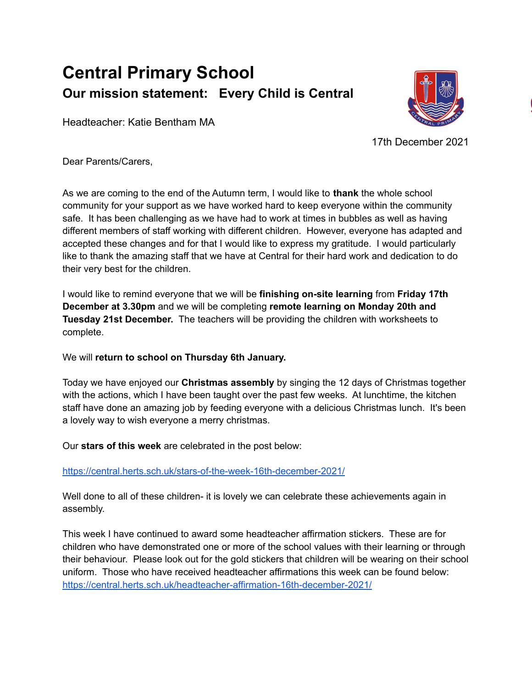## **Central Primary School Our mission statement: Every Child is Central**

Headteacher: Katie Bentham MA



17th December 2021

Dear Parents/Carers,

As we are coming to the end of the Autumn term, I would like to **thank** the whole school community for your support as we have worked hard to keep everyone within the community safe. It has been challenging as we have had to work at times in bubbles as well as having different members of staff working with different children. However, everyone has adapted and accepted these changes and for that I would like to express my gratitude. I would particularly like to thank the amazing staff that we have at Central for their hard work and dedication to do their very best for the children.

I would like to remind everyone that we will be **finishing on-site learning** from **Friday 17th December at 3.30pm** and we will be completing **remote learning on Monday 20th and Tuesday 21st December.** The teachers will be providing the children with worksheets to complete.

We will **return to school on Thursday 6th January.**

Today we have enjoyed our **Christmas assembly** by singing the 12 days of Christmas together with the actions, which I have been taught over the past few weeks. At lunchtime, the kitchen staff have done an amazing job by feeding everyone with a delicious Christmas lunch. It's been a lovely way to wish everyone a merry christmas.

Our **stars of this week** are celebrated in the post below:

<https://central.herts.sch.uk/stars-of-the-week-16th-december-2021/>

Well done to all of these children- it is lovely we can celebrate these achievements again in assembly.

This week I have continued to award some headteacher affirmation stickers. These are for children who have demonstrated one or more of the school values with their learning or through their behaviour. Please look out for the gold stickers that children will be wearing on their school uniform. Those who have received headteacher affirmations this week can be found below: <https://central.herts.sch.uk/headteacher-affirmation-16th-december-2021/>